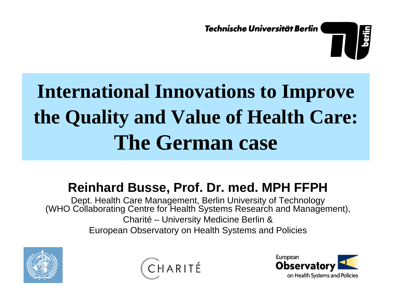Technische Universität Berlin



# **International Innovations to Improve the Quality and Value of Health Care: The German case**

#### **Reinhard Busse, Prof. Dr. med. MPH FFPH**

Dept. Health Care Management, Berlin University of Technology (WHO Collaborating Centre for Health Systems Research and Management), Charité – University Medicine Berlin & European Observatory o n Health Systems and Policies





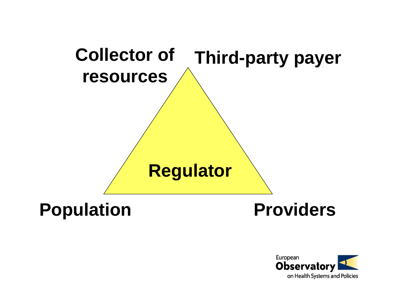

#### **Population Providers**

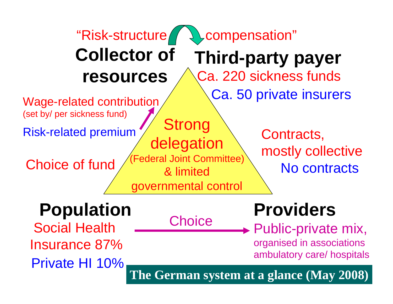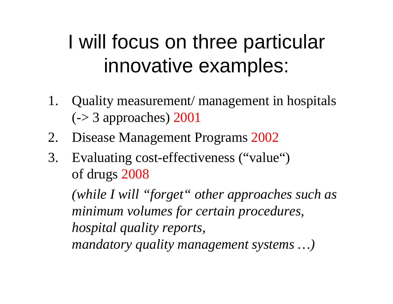## I will focus on three particular innovative examples:

- 1. Quality measurement/ management in hospitals  $\left(\frac{-}{5}\right)$  approaches) 2001
- 2. Disease Management Programs 2002
- 3. Evaluating cost-effectiveness ("value") of drugs 2008

*(while I will "forget" other approaches such as minimum volumes for certain procedures, hospital quality reports, mandatory quality managemen<sup>t</sup> systems …)*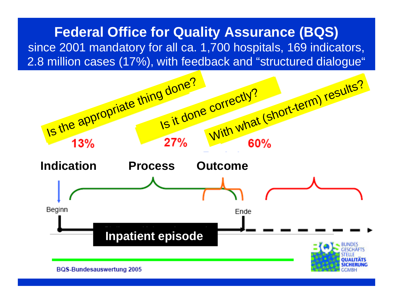#### **Federal Office for Quality Assurance (BQS)** since 2001 mandatory for all ca. 1,700 hospitals, 169 indicators, 2.8 million cases (17%), with feedback and "structured dialogue"

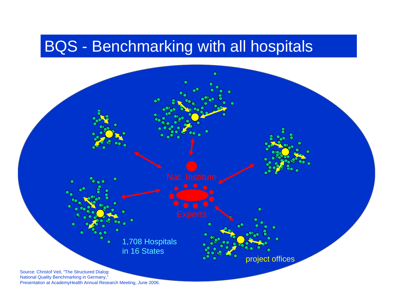#### BQS - Benchmarking with all hospitals



Presentation at AcademyHealth Annual Research Meeting, June 2006.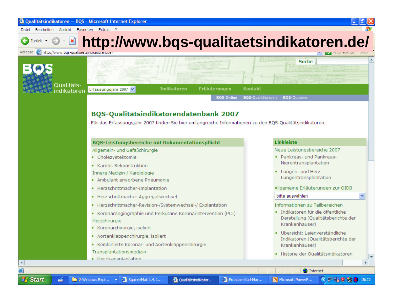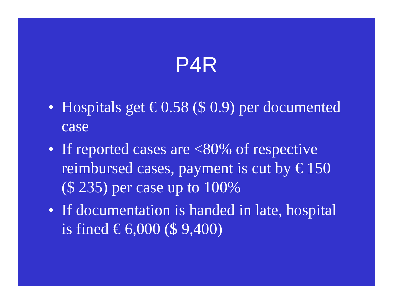### P4R

- $\bullet$ Hospitals get  $\in$  0.58 (\$ 0.9) per documented case
- If reported cases are <80% of respective reimbursed cases, payment is cut by  $\epsilon$ 150 (\$ 235) per case up to 100%
- If documentation is handed in late, hospital is fined €6,000 (\$ 9,400)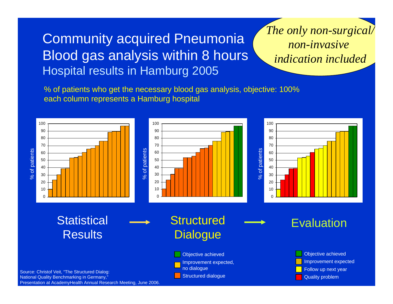#### Community acquired Pneumonia Blood gas analysis within 8 hours Hospital results in Hamburg 2005

#### *The only non-surgical/ non-invasiveindication included*

% of patients who get the necessary blood gas analysis, objective: 100% each column represents a Hamburg hospital



Presentation at AcademyHealth Annual Research Meeting, June 2006.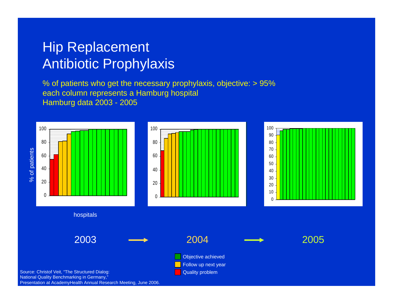#### Hip Replacement Antibiotic Prophylaxis

% of patients who get the necessary prophylaxis, objective: > 95% each column represents a Hamburg hospital Hamburg data 2003 - 2005



Presentation at AcademyHealth Annual Research Meeting, June 2006.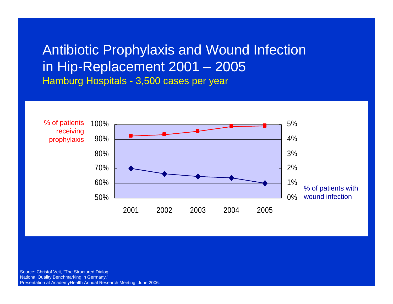#### Antibiotic Prophylaxis and Wound Infection in Hip-Replacement 2001 – 2005 Hamburg Hospitals - 3,500 cases per year



Source: Christof Veit, "The Structured Dialog: National Quality Benchmarking in Germany," Presentation at AcademyHealth Annual Research Meeting, June 2006.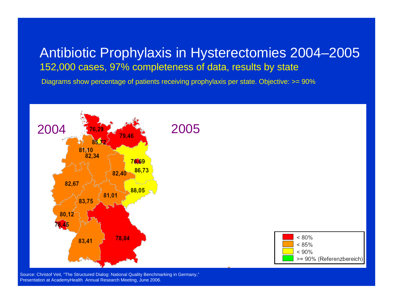#### Antibiotic Prophylaxis in Hysterectomies 2004–2005 152,000 cases, 97% completeness of data, results by state

Diagrams show percentage of patients receiving prophylaxis per state. Objective:  $>= 90\%$ 



Source: Christof Veit, "The Structured Dialog: National Quality Benchmarking in Germany," Presentation at AcademyHealth Annual Research Meeting, June 2006.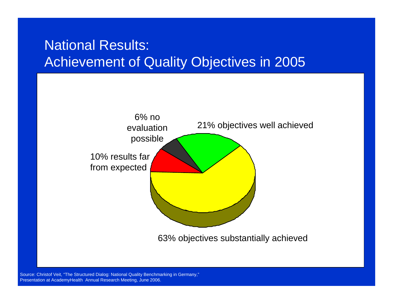#### National Results: Achievement of Quality Objectives in 2005



Source: Christof Veit, "The Structured Dialog: National Quality Benchmarking in Germany," Presentation at AcademyHealth Annual Research Meeting, June 2006.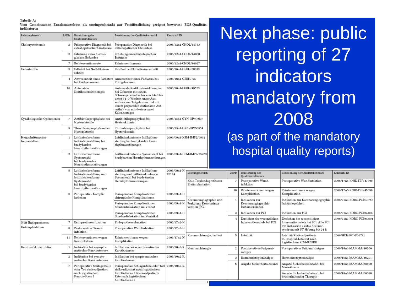Tabelle A:

Vom Gemeinsamen Bundesausschuss als uneingeschränkt zur Veröffentlichung geeignet bewertete BOS-Qualitätsindikatoren

| Leistungsbereich                   | LfdNr                                                                                                                 | Bezeichnung des<br>Qualitätsindikators                                                                                        | Bezeichnung der Qualitätskennzahl                                                                                                                                                                                                                           | Kennzahl ID                                |                                                                     |                           |                |                                                          |  |  |  |
|------------------------------------|-----------------------------------------------------------------------------------------------------------------------|-------------------------------------------------------------------------------------------------------------------------------|-------------------------------------------------------------------------------------------------------------------------------------------------------------------------------------------------------------------------------------------------------------|--------------------------------------------|---------------------------------------------------------------------|---------------------------|----------------|----------------------------------------------------------|--|--|--|
| Cholezystektomie                   | 2                                                                                                                     | Präoperative Diagnostik bei<br>extrahepatischer Cholestase                                                                    | Präoperative Diagnostik bei<br>extrahepatischer Cholestase                                                                                                                                                                                                  | 2006/12n1-CHOL/44783                       |                                                                     |                           |                |                                                          |  |  |  |
|                                    | 3<br>Erhebung eines histolo-<br>2006/12n1-CHOL/44800<br>Erhebung eines histologischen<br>gischen Befundes<br>Befundes |                                                                                                                               |                                                                                                                                                                                                                                                             |                                            |                                                                     |                           |                |                                                          |  |  |  |
|                                    | $\overline{7}$                                                                                                        | Reinterventionsrate                                                                                                           | Reinterventionsrate                                                                                                                                                                                                                                         | 2006/12n1-CHOL/44927                       |                                                                     |                           |                |                                                          |  |  |  |
| Geburtshilfe                       | 3                                                                                                                     | E-E-Zeit bei Notfallkaiser-<br>schnitt                                                                                        | E-E-Zeit bei Notfallkaiserschnitt                                                                                                                                                                                                                           | 2006/16n1-GEBH/68383                       |                                                                     |                           |                |                                                          |  |  |  |
|                                    | $\overline{4}$                                                                                                        | Anwesenheit eines Pädiaters<br>bei Frühgeborenen                                                                              | Anwesenheit eines Pädiaters bei<br>Frühgeborenen                                                                                                                                                                                                            | 2006/16n1-GEBH/737<br>2006/16n1-GEBH/49523 |                                                                     | next pri<br>report<br>ind |                |                                                          |  |  |  |
|                                    | 10                                                                                                                    | Antenatale<br>Kortikosteroidtherapie                                                                                          | Antenatale Kortikosteroidtherapie:<br>bei Geburten mit einem<br>Schwangerschaftsalter von 24+0 bis<br>unter 34+0 Wochen unter Aus-<br>schluss von Totgeburten und mit<br>einem präpartalen stationären Auf-<br>enthalt von mindestens zwei<br>Kalendertagen |                                            |                                                                     | manda                     |                |                                                          |  |  |  |
| Gynäkologische Operationen         | $\overline{7}$                                                                                                        | Antibiotikaprophylaxe bei<br>Hysterektomie                                                                                    | Antibiotikaprophylaxe bei<br>Hysterektomie                                                                                                                                                                                                                  | 2006/15n1-GYN-OP/47637                     |                                                                     |                           |                |                                                          |  |  |  |
|                                    | 9                                                                                                                     | Thromboseprophylaxe bei<br>Hysterektomie                                                                                      | Thromboseprophylaxe bei<br>Hysterektomie                                                                                                                                                                                                                    | 2006/15n1-GYN-OP/50554                     |                                                                     |                           |                |                                                          |  |  |  |
| Herzschrittmacher-<br>Implantation | $\mathbf{1}$                                                                                                          | Leitlinienkonforme<br>Indikationsstellung bei<br>bradykarden<br>Herzrhythmusstörungen                                         | Leitlinienkonforme Indikations-<br>2006/09n1-HSM-IMPL/9962<br>stellung bei bradykarden Herz-<br>rhythmusstörungen                                                                                                                                           |                                            |                                                                     |                           |                | (as part of<br>hospital d                                |  |  |  |
|                                    | 3                                                                                                                     | Leitlinienkonforme<br>Systemwahl<br>bei bradykarden<br>Herzrhythmusstörungen                                                  | Leitlinienkonforme Systemwahl bei<br>bradykarden Herzrhythmusstörungen                                                                                                                                                                                      | 2006/09n1-HSM-IMPL/75973                   |                                                                     |                           |                |                                                          |  |  |  |
|                                    | 5                                                                                                                     | Leitlinienkonforme<br>Indikationsstellung und<br>leitlinienkonforme<br>Systemwahl<br>bei bradykarden<br>Herzrhythmusstörungen | Leitlinienkonforme Indikations-<br>stellung und leitlinienkonforme<br>Systemwahl bei bradykarden<br>Herzrhythmusstörungen                                                                                                                                   | 2006/09n1-H<br>76124                       | Leistungsbereich                                                    |                           | LfdNr          | Bezeichnung des<br>Qualitätsindikators                   |  |  |  |
|                                    |                                                                                                                       |                                                                                                                               |                                                                                                                                                                                                                                                             |                                            | Knie-Totalendoprothesen-<br>Erstimplantation                        |                           | 7              | Postoperative Wund-<br>infektion                         |  |  |  |
|                                    | 8                                                                                                                     | Perioperative Kompli-<br>kationen                                                                                             | Perioperative Komplikationen:<br>chirurgische Komplikationen                                                                                                                                                                                                | 2006/09n1-H                                |                                                                     |                           | 10             | Reinterventionen wegen<br>Komplikation                   |  |  |  |
|                                    |                                                                                                                       |                                                                                                                               | Perioperative Komplikationen:<br>Sondendislokation im Vorhof                                                                                                                                                                                                | 2006/09n1-H                                | Koronarangiographie und<br>Perkutane Koronarinter-<br>vention (PCI) |                           | $\mathbf{1}$   | Indikation zur<br>Koronarangiographie<br>Ischämiezeichen |  |  |  |
|                                    |                                                                                                                       |                                                                                                                               | Perioperative Komplikationen:                                                                                                                                                                                                                               | 2006/09n1-H                                |                                                                     |                           | 3              | Indikation zur PCI                                       |  |  |  |
| Hüft-Endoprothesen-                | $\overline{7}$                                                                                                        | Endoprothesenluxation                                                                                                         | Sondendislokation im Ventrikel<br>Endoprothesenluxation                                                                                                                                                                                                     | 2006/17n2-H                                | Koronarchirurgie, isoliert                                          |                           | $\overline{4}$ | Erreichen des wesentlichen<br>Interventionsziels bei PCI |  |  |  |
| Erstimplantation                   | 8                                                                                                                     | Postoperative Wund-<br>infektion                                                                                              | Postoperative Wundinfektion                                                                                                                                                                                                                                 | 2006/17n2-H                                |                                                                     |                           |                |                                                          |  |  |  |
|                                    | 11                                                                                                                    | Reinterventionen wegen<br>Komplikation                                                                                        | Reinterventionen wegen<br>Komplikation                                                                                                                                                                                                                      | 2006/17n2-H                                |                                                                     |                           | 5              | Letalität                                                |  |  |  |
| Karotis-Rekonstruktion             | $\mathbf{1}$                                                                                                          | Indikation bei asympto-<br>matischer Karotisstenose                                                                           | Indikation bei asymptomatischer<br>Karotisstenose                                                                                                                                                                                                           | 2006/10n2-K.                               | Mammachirurgie                                                      |                           | 2              | Postoperatives Präparat-<br>röntgen                      |  |  |  |
|                                    | $\mathbf{2}$                                                                                                          | Indikation bei sympto-<br>matischer Karotisstenose                                                                            | Indikation bei symptomatischer<br>Karotisstenose                                                                                                                                                                                                            | 2006/10n2-K                                |                                                                     |                           | 3              | Hormonrezeptoranalyse                                    |  |  |  |
|                                    | $\overline{7}$                                                                                                        | Perioperative Schlaganfälle<br>oder Tod risikoadjustiert<br>nach logistischem<br>Karotis-Score I                              | Perioperative Schlaganfälle oder Tod<br>risikoadjustiert nach logistischem<br>Karotis-Score I: Risikoadjustierte<br>Rate nach logistischem<br>Karotis-Score I                                                                                               | 2006/10n2-K                                |                                                                     |                           | 5              | Angabe Sicherheitsabstand                                |  |  |  |

hase: public rting of 27 dicators atory from 2008 of the mandatory quality reports)

Bezeichnung der Qualitätskennzahl

Postoperative Wundinfektion

Indikation zur Koronarangiographie

Interventionsziels bei PCI: Alle PCI mit Indikation akutes Koronarsyndrom mit ST-Hebung bis 24 h

Reinterventionen wegen

Erreichen des wesentlichen

Letaliät: Risikoadjustierte In-Hospital-Letalität nach logistischem KCH-SCORE Postoperatives Präparatröntgen

Hormonrezeptoranalyse

Mastektomie

Angabe Sicherheitsabstand: bei

Angabe Sicherheitsabstand: bei

brusterhaltender Therapie

Komplikation

Ischämiezeichen Indikation zur PCI Kennzahl ID

2006/17n5-KNIE-TEP/47390

2006/17n5-KNIE-TEP/45059

2006/21n3-KORO-PCI/43757

2006/21n3-KORO-PCI/69889 2006/21n3-KORO-PCI/69891

2006/HCH-KCH/66781

2006/18n1-MAMMA/46200

2006/18n1-MAMMA/46201

2006/18n1-MAMMA/68100

2006/18n1-MAMMA/68098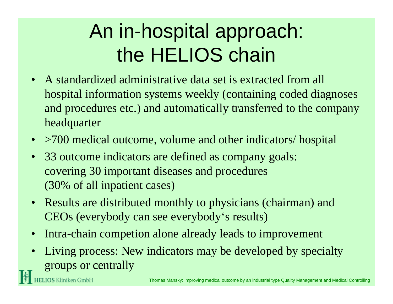## An in-hospital approach: the HELIOS chain

- A standardized administrative data set is extracted from all hospital information systems weekly (containing coded diagnoses and procedures etc.) and automatically transferred to the company headquarter
- >700 medical outcome, volume and other indicators/ hospital
- $\bullet$  33 outcome indicators are defined as company goals: covering 30 important diseases and procedures (30% of all inpatient cases)

**HELIOS** Kliniken GmbH

- Results are distributed monthly to physicians (chairman) and CEOs (everybody can see everybody's results)
- •Intra-chain competion alone already leads to improvement
- • Living process: New indicators may be developed by specialty groups or centrally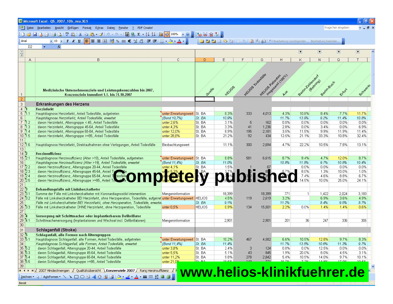|                                                                                                                              | Microsoft Excel - QS_2007_10b_neu.XLS                                                                                                                |                             |                  |               |                   |                  |                 |                     |                        |                        | -  미×                    |
|------------------------------------------------------------------------------------------------------------------------------|------------------------------------------------------------------------------------------------------------------------------------------------------|-----------------------------|------------------|---------------|-------------------|------------------|-----------------|---------------------|------------------------|------------------------|--------------------------|
|                                                                                                                              | [B] Datei Bearbeiten Ansicht Einfügen Format Extras Daten Fenster<br>? PDF Create!                                                                   |                             |                  |               |                   |                  |                 |                     |                        | Frage hier eingeben    | $-0.5$                   |
|                                                                                                                              | <b>: D B B B B Q ( * 2 K B B - 3   - - -   5 &amp; Σ - 2   {   {B + 0   00% - 0   ; } &amp; B \$ T  </b> ;                                           |                             |                  |               |                   |                  |                 |                     |                        |                        |                          |
| : Arial                                                                                                                      | ia a a c c is b a d b b a d a c c carbeitung zurücksenden Bearbeitung beenden                                                                        |                             |                  |               |                   |                  |                 |                     |                        |                        |                          |
| D <sub>2</sub>                                                                                                               |                                                                                                                                                      |                             |                  |               |                   |                  |                 |                     |                        |                        |                          |
| $\begin{array}{ c } \hline 1 \\ \hline 2 \\ \hline \end{array}$                                                              |                                                                                                                                                      |                             |                  |               |                   |                  |                 | $\vert \cdot \vert$ | $\blacksquare$         | $\left  \cdot \right $ | $\overline{\phantom{a}}$ |
|                                                                                                                              |                                                                                                                                                      | $\mathbb{C}$                | D.               |               |                   |                  |                 |                     |                        |                        |                          |
| $\mathsf{A}$                                                                                                                 | B                                                                                                                                                    |                             |                  | E             | F                 | G                | H               | Κ                   | N                      | Q                      |                          |
|                                                                                                                              |                                                                                                                                                      |                             |                  |               |                   |                  |                 |                     |                        |                        |                          |
|                                                                                                                              |                                                                                                                                                      |                             |                  |               |                   |                  |                 |                     |                        |                        |                          |
|                                                                                                                              |                                                                                                                                                      |                             |                  |               |                   |                  |                 |                     |                        |                        |                          |
|                                                                                                                              |                                                                                                                                                      |                             |                  |               | HELLOS Todesfalle | HELIOS Patienten | Insgeram (100%) | Serim Zehlendorf    | (Behring)<br>Beninguch |                        |                          |
|                                                                                                                              | Medizinische Unternehmensziele und Leistungskennzahlen bis 2007,                                                                                     |                             | Quelle           | HELIOS        |                   |                  |                 |                     |                        |                        | Schwerin                 |
| $\vert$ 1                                                                                                                    | Konzernziele kumuliert 1.1. bis 31.10.2007                                                                                                           |                             |                  |               |                   |                  |                 |                     |                        | Erfurt                 |                          |
| $\overline{2}$                                                                                                               |                                                                                                                                                      |                             |                  |               |                   |                  |                 |                     |                        |                        |                          |
| $\overline{3}$                                                                                                               | Erkrankungen des Herzens                                                                                                                             |                             |                  |               |                   |                  |                 |                     |                        |                        |                          |
| 4 <sup>7</sup>                                                                                                               | <b>Herzinfarkt</b>                                                                                                                                   |                             |                  |               |                   |                  |                 |                     |                        |                        |                          |
| $5 \, 1.1$                                                                                                                   | Hauptdiagnose Herzinfarkt, Anteil Todesfälle, aufgetreten                                                                                            | unter Erwartungswert        | St. BA           | 8.3%          | 333               | 4,013            | 4.3%            | 10.8%               | 8.4%                   | 7.7%                   | 11.7%                    |
| $\sqrt{6}$<br>$7^{1.2}$                                                                                                      | Hauptdiagnose Herzinfarkt, Anteil Todesfälle, erwartet<br>davon Herzinfarkt, Altersgruppe < 45, Anteil Todesfälle                                    | (Bund 10,7%)<br>unter 2,6%  | St. BA<br>St. BA | 10.9%<br>3.1% | 5                 | 162              | 11.7%<br>0.0%   | 13.9%<br>0.0%       | 9.2%<br>0.0%           | 11.4%<br>0.0%          | 10.8%<br>0.0%            |
| $8 \, 1.3$                                                                                                                   | davon Herzinfarkt, Altersgruppe 45-64, Anteil Todesfälle                                                                                             | unter 4,3%                  | St. BA           | 3.3%          | 41                | 1,236            | 2.8%            | 0.0%                | 3.4%                   | 0.0%                   | 6.9%                     |
| $9^{1.4}$                                                                                                                    | davon Herzinfarkt, Altersgruppe 65-84, Anteil Todesfälle                                                                                             | unter 12,0%                 | St. BA           | 8.9%          | 195               | 2,181            | 3.5%            | 11.5%               | 9.9%                   | 11.9%                  | 11.4%                    |
| $10^{6}1.5$                                                                                                                  | davon Herzinfarkt, Altersgruppe >=85, Anteil Todesfälle                                                                                              | unter 28,8%                 | St. BA           | 21.2%         | 92                | 434              | 12.5%           | 21.1%               | 33.3%                  | 10.8%                  | 32.4%                    |
| 11                                                                                                                           |                                                                                                                                                      |                             |                  |               |                   |                  |                 |                     |                        |                        |                          |
| 12 1.6                                                                                                                       | Hauptdiagnose Herzinfarkt, Direktaufnahmen ohne Verlegungen, Anteil Todesfälle                                                                       | Beobachtungswert            |                  | 11.1%         | 300               | 2,694            | 4.7%            | 22.2%               | 10.5%                  | 7.8%                   | 13.1%                    |
| 13<br>14 <sup>2</sup>                                                                                                        | <b>Herzinsuffizienz</b>                                                                                                                              |                             |                  |               |                   |                  |                 |                     |                        |                        |                          |
| $15 \, 2.1$                                                                                                                  | Hauptdiagnose Herzinsuffizienz (Alter >19), Anteil Todesfälle, aufgetreten                                                                           | unter Erwartungswert        | St. BA           | 8.8%          | 581               | 6,615            | 8.7%            | 9.4%                | 4.7%                   | 12.0%                  | 8.7%                     |
| 16                                                                                                                           | Hauptdiagnose Herzinsuffizienz (Alter >19), Anteil Todesfälle, erwartet                                                                              | (Bund 11,4%)                | St. BA           | 11.0%         |                   |                  | 10.8%           | 11.8%               | 9.7%                   | 10.8%                  | 10.4%                    |
| $17^{2.2}$                                                                                                                   | davon Herzinsuffizienz, Altersgruppe 20-44, Anteil Todesfälle.                                                                                       | unter 4,1%                  | St. BA           | 1.5%          |                   |                  |                 | 0.0%                | 0.0%                   | 0.0%                   | 0.0%                     |
| $18 \, 2.3$                                                                                                                  |                                                                                                                                                      |                             |                  |               |                   |                  |                 | 8.0%                | 1.3%                   | 10.0%                  | 1.0%                     |
| $19$ 2.4                                                                                                                     | davon Herzinsuffizienz, Altersgruppe 45-64, Anteil To <b>Sale OMD. BACK CAY</b> DISISI SA C                                                          |                             |                  |               |                   |                  |                 | 7.4%                | 4.6%                   | 8.8%                   | 6.7%                     |
| $20$ 2.5<br>$\overline{21}$                                                                                                  |                                                                                                                                                      |                             |                  |               |                   |                  |                 | 14.5%               | 10.0%                  | 25.0%                  | 24.1%                    |
| $\overline{22}$ 3                                                                                                            | Behandlungsfälle mit Linksherzkatheter                                                                                                               |                             |                  |               |                   |                  |                 |                     |                        |                        |                          |
| 23 3.1                                                                                                                       | Summe der Fälle mit Linksherzkatheter mit Koronardiagnostik/-intervention                                                                            | Mengeninformation           |                  | 18,399        |                   | 18,399           | 771             |                     | 1,422                  | 2,024                  | 3,183                    |
| $24 \overline{3.2}$                                                                                                          | Fälle mit Linksherzkatheter BEI Herzinfarkt, ohne Herzoperation, Todesfälle, aufgetret unter Erwartungswert                                          |                             | <b>HELIOS</b>    | 4.5%          | 119               | 2,619            | 3.2%            |                     | 6.9%                   | 3.6%                   | 4.9%                     |
| $25\overline{)}$                                                                                                             | Fälle mit Linksherzkatheter BEI Herzinfarkt, ohne Herzoperation, Todesfälle, erwartei                                                                |                             | St. BA           | 9.1%          |                   |                  | 11.2%           |                     | 8.4%                   | 9.5%                   | 8.7%                     |
| $26\,$ 3.3<br>$\overline{27}$                                                                                                | Fälle mit Linksherzkatheter OHNE Herzinfarkt, ohne Herzoperation, Todesfälle                                                                         | unter $0.5%$                | <b>HELIOS</b>    | 0.9%          | 134               | 15,501           | 2.2%            | 0.0%                | 1.4%                   | 1.4%                   | 0.6%                     |
| $28\sqrt{4}$                                                                                                                 | Versorgung mit Schrittmacher oder implantierbarem Defibrillator                                                                                      |                             |                  |               |                   |                  |                 |                     |                        |                        |                          |
| 29 4.1                                                                                                                       | Schrittmacherversorgung (Implantationen und Wechsel incl. Defibrillatoren)                                                                           | Mengeninformation           |                  | 2,901         |                   | 2,901            | 201             | 36                  | 247                    | 336                    | 305                      |
| $30\,$                                                                                                                       |                                                                                                                                                      |                             |                  |               |                   |                  |                 |                     |                        |                        |                          |
| 31                                                                                                                           | Schlaganfall (Stroke)                                                                                                                                |                             |                  |               |                   |                  |                 |                     |                        |                        |                          |
| 32 5                                                                                                                         | Schlaganfall, alle Formen nach Altersgruppen                                                                                                         |                             |                  |               |                   |                  |                 |                     |                        |                        |                          |
| 33 5.1                                                                                                                       | Hauptdiagnose Schlaganfall, alle Formen, Anteil Todesfälle, aufgetreten                                                                              | unter Erwartungswert St. BA |                  | 10.2%         | 467               | 4,582            | 6.6%            | 10.5%               | 12.8%                  | 9.7%                   | 8.3%                     |
| 34                                                                                                                           | Hauptdiagnose Schlagantall, alle Formen, Anteil Todeställe, erwartet                                                                                 | (Bund 11,4%)                | St. BA           | 11.4%         |                   |                  | 11.7%           | 13.5%               | 10.6%                  | 11.3%                  | 9. Ph                    |
|                                                                                                                              | davon Schlaganfall, Altersgruppe 20-44, Anteil Todesfälle<br>davon Schlaganfall, Altersgruppe 45-64, Anteil Todesfälle                               | unter 3,8%<br>unter 5,5%    | St. BA<br>St. BA | 2.4%<br>5.1%  | 3<br>43           | 124<br>845       | 0.0%<br>1.9%    | 0.0%<br>20.0%       | 12.5%<br>8.0%          | $0.0\%$<br>4.5%        | $0.0\%$<br>3.1%          |
| $\begin{array}{r}\n 36\overline{)5.2} \\ 36\overline{)5.3} \\ \hline\n 37\overline{)5.4} \\ 38\overline{)5.5}\n \end{array}$ | davon Schlaganfall, Altersgruppe 65-84, Anteil Todesfälle                                                                                            | unter 11,2%                 | St. BA           | 9.8%          | 278               | 2,842            | 5.4%            | 10.5%               | 14.0%                  | 9.7%                   | 10.1%                    |
|                                                                                                                              | davon Schlaganfall, Altersgruppe >=85, Anteil Todesfälle                                                                                             | unter 21,0 <sup>oz</sup>    | േ ലോ             |               |                   |                  | 10.707          | 7.701               | 4.4.001                | 47.001                 | 10.50                    |
| 39                                                                                                                           |                                                                                                                                                      |                             |                  |               |                   |                  |                 |                     |                        |                        |                          |
|                                                                                                                              | $\mathsf{H}$ ( $\mathsf{H}$ ) $\mathsf{H}$ 2007 Mindestmengen $\chi$ Qualitätsübersicht $\chi$ <b>Konzernziele 2007</b> $\chi$ Rang Herzinsuffizienz |                             |                  |               |                   |                  |                 |                     |                        |                        |                          |
|                                                                                                                              | www.helios-klinikfuehrer.de<br>┊Zeichnen・☆│AutoFormen・\ ヽ □○国 ◀ ♡ 圓 ⊠│ <mark>ふ‐.◢‐A</mark> ・〓     言 〓 子 □ □ <mark>-</mark>                           |                             |                  |               |                   |                  |                 |                     |                        |                        |                          |

Bereit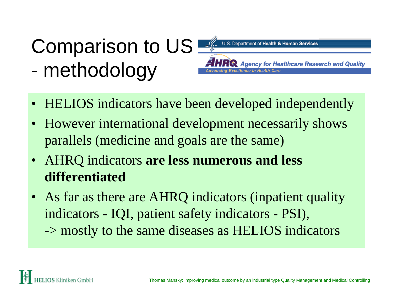#### Comparison to US U.S. Department of Health & Human Services **Agency for Healthcare Research and Quality**  methodology ellence in Health

- HELIOS indicators have been developed independently
- However international development necessarily shows parallels (medicine and goals are the same)
- AHRQ indicators **are less numerous and less differentiated**
- As far as there are AHRQ indicators (inpatient quality indicators - IQI, patient safety indicators - PSI), -> mostly to the same diseases as HELIOS indicators

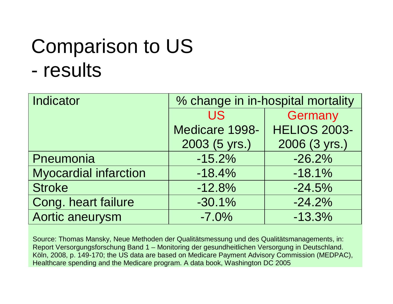## Comparison to US results

| Indicator                    | % change in in-hospital mortality |                     |  |  |  |  |  |
|------------------------------|-----------------------------------|---------------------|--|--|--|--|--|
|                              | <b>US</b>                         | Germany             |  |  |  |  |  |
|                              | Medicare 1998-                    | <b>HELIOS 2003-</b> |  |  |  |  |  |
|                              | 2003 (5 yrs.)                     | 2006 (3 yrs.)       |  |  |  |  |  |
| Pneumonia                    | $-15.2%$                          | $-26.2%$            |  |  |  |  |  |
| <b>Myocardial infarction</b> | $-18.4%$                          | $-18.1%$            |  |  |  |  |  |
| <b>Stroke</b>                | $-12.8%$                          | $-24.5%$            |  |  |  |  |  |
| Cong. heart failure          | $-30.1%$                          | $-24.2%$            |  |  |  |  |  |
| Aortic aneurysm              | $-7.0%$                           | $-13.3%$            |  |  |  |  |  |

Source: Thomas Mansky, Neue Methoden der Qualitätsmessung und des Qualitätsmanagements, in: Report Versorgungsforschung Band 1 – Monitoring der gesundheitlichen Versorgung in Deutschland. Köln, 2008, p. 149-170; the US data are based on Medicare Payment Advisory Commission (MEDPAC), Healthcare spending and the Medicare program. A data book, Washington DC 2005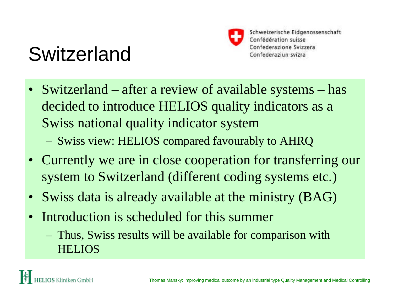## Switzerland



- Switzerland after a review of available systems has decided to introduce HELIOS quality indicators as a Swiss national quality indicator system Swiss view: HELIOS compared favourably to AHRQ
- Currently we are in close cooperation for transferring our system to Switzerland (different coding systems etc.)
- Swiss data is already available at the ministry (BAG)
- Introduction is scheduled for this summer
	- Thus, Swiss results will be available for comparison with HELIOS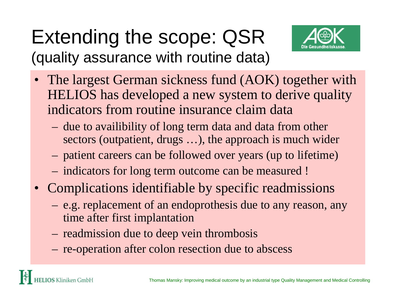### Extending the scope: QSR (quality assurance with routine data)



- The largest German sickness fund (AOK) together with HELIOS has developed a new system to derive quality indicators from routine insurance claim data
	- due to availibility of long term data and data from other sectors (outpatient, drugs …), the approach is much wider
	- patient careers can be followed over years (up to lifetime)
	- indicators for long term outcome can be measured !
- Complications identifiable by specific readmissions
	- e.g. replacement of an endoprothesis due to any reason, any time after first implantation
	- readmission due to deep vein thrombosis
	- re-operation after colon resection due to abscess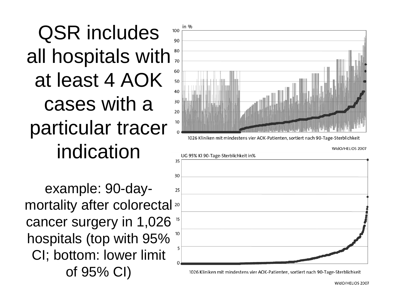QSR includes all hospitals with at least 4 AOK cases with a particular tracer indication

example: 90-daymortality after colorectal<sup>20</sup> cancer surgery in 1,026 hospitals (top with 95% CI; bottom: lower limit of 95% CI)





1026 Kliniken mit mindestens vier AOK-Patienten, sortiert nach 90-Tage-Sterblichkeit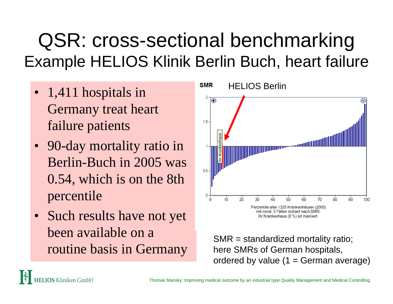### QSR: cross-sectional benchmarking Example HELIOS Klinik Berlin Buch, heart failure

- 1,411 hospitals in Germany treat heart failure patients
- 90-day mortality ratio in Berlin-Buch in 2005 was 0.54, which is on the 8th percentile
- $\bullet$  Such results have not ye<sup>t</sup> been available on a routine basis in Germany



SMR = standardized mortality ratio; here SMRs of German hospitals, ordered by value  $(1 = 1)$  German average)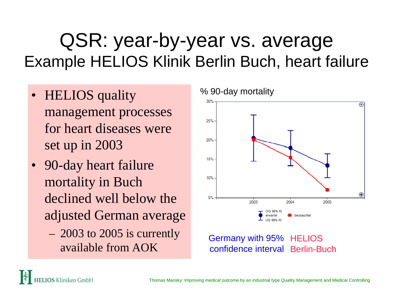### QSR: year-by-year vs. average Example HELIOS Klinik Berlin Buch, heart failure

- **HELIOS** quality management processes for heart diseases wereset up in 2003
- 90-day heart failure mortality in Buch declined well below theadjusted German average
	- 2003 to 2005 is currently available from AOK

% 90-day mortality



confidence interval Berlin-Buch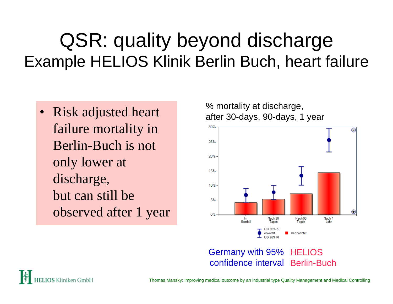### QSR: quality beyond discharge Example HELIOS Klinik Berlin Buch, heart failure

• Risk adjusted heart failure mortality in Berlin-Buch is notonly lower at discharge, but can still beobserved after 1 year % mortality at discharge, after 30-days, 90-days, 1 year



#### Germany with 95% HELIOS confidence interval Berlin-Buch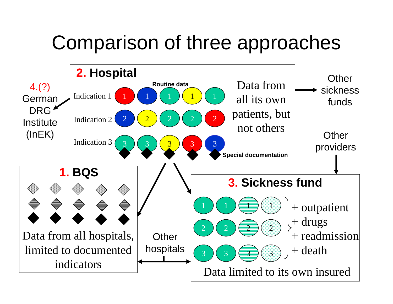### Comparison of three approaches

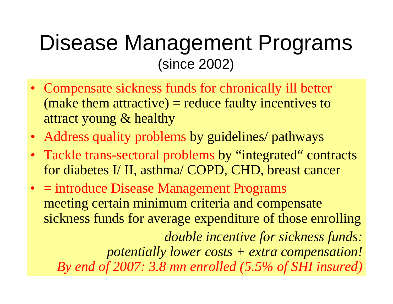### Disease Management Programs (since 2002)

- Compensate sickness funds for chronically ill better (make them attractive) = reduce faulty incentives to attract young & healthy
- Address quality problems by guidelines/ pathways
- Tackle trans-sectoral problems by "integrated" contracts for diabetes I/ II, asthma/ COPD, CHD, breast cancer
- = introduce Disease Management Programs meeting certain minimum criteria and compensate sickness funds for average expenditure of those enrolling

*double incentive for sickness funds: potentially lower costs + extra compensation! By end of 2007: 3.8 mn enrolled (5.5% of SHI insured)*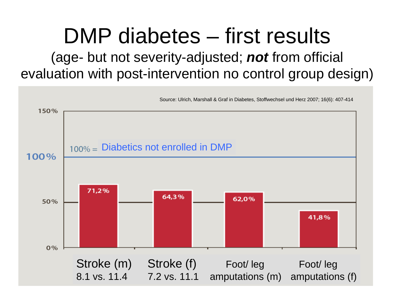#### DMP diabetes – first results (age- but not severity-adjusted; *not* from official evaluation with post-intervention no control group design)

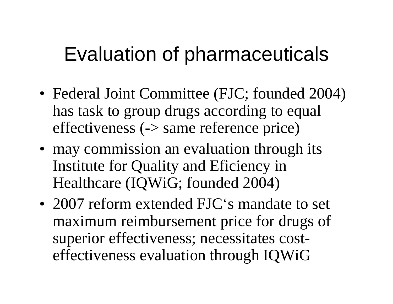### Evaluation of pharmaceuticals

- Federal Joint Committee (FJC; founded 2004) has task to group drugs according to equal effectiveness (-> same reference price)
- may commission an evaluation through its Institute for Quality and Eficiency in Healthcare (IQWiG; founded 2004)
- 2007 reform extended FJC's mandate to set maximum reimbursement price for drugs of superior effectiveness; necessitates costeffectiveness evaluation through IQWiG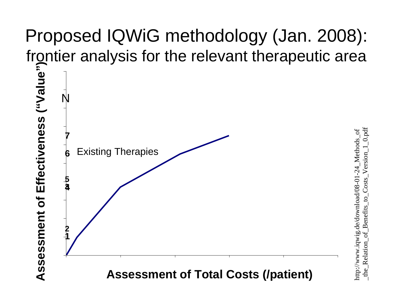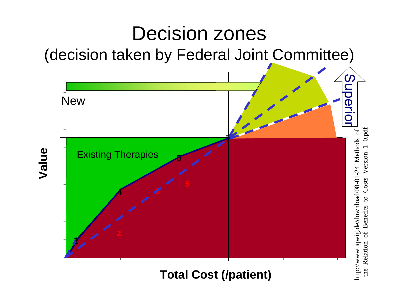

#### **Total Cost (/patient)**

\_the\_Relation\_of\_Benefits\_to\_Costs\_Version\_1\_0.pdfhttp://www.iqwig.de/download/08-01-24\_Methods\_of http://www.iqwig.de/download/08-01-24 Relation  $\mathsf{the}$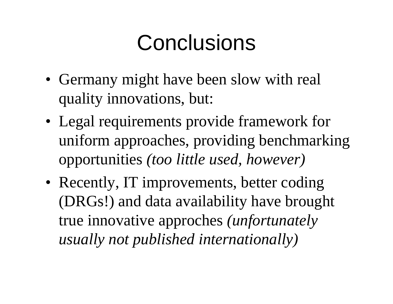# Conclusions

- Germany might have been slow with real quality innovations, but:
- Legal requirements provide framework for uniform approaches, providing benchmarking opportunities *(too little used, however)*
- Recently, IT improvements, better coding (DRGs!) and data availability have brought true innovative approches *(unfortunately usually not published internationally)*